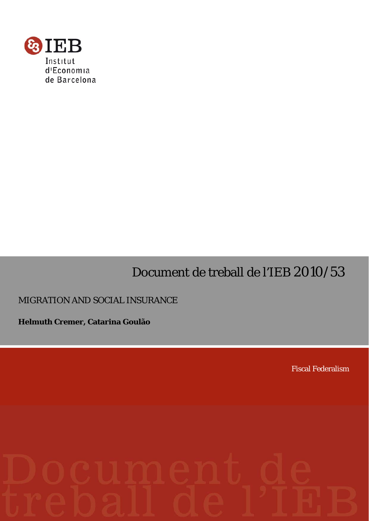

# Document de treball de l'IEB 2010/53

# MIGRATION AND SOCIAL INSURANCE

**Helmuth Cremer, Catarina Goulão** 

Fiscal Federalism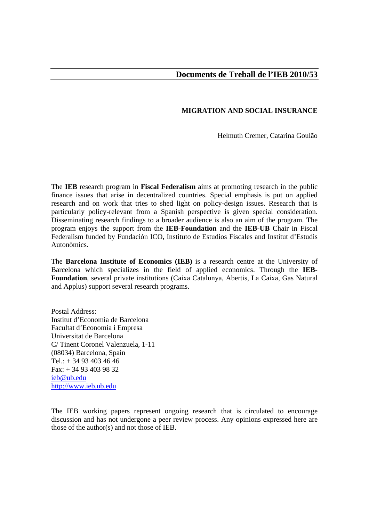# **MIGRATION AND SOCIAL INSURANCE**

Helmuth Cremer, Catarina Goulão

The **IEB** research program in **Fiscal Federalism** aims at promoting research in the public finance issues that arise in decentralized countries. Special emphasis is put on applied research and on work that tries to shed light on policy-design issues. Research that is particularly policy-relevant from a Spanish perspective is given special consideration. Disseminating research findings to a broader audience is also an aim of the program. The program enjoys the support from the **IEB-Foundation** and the **IEB-UB** Chair in Fiscal Federalism funded by Fundación ICO, Instituto de Estudios Fiscales and Institut d'Estudis Autonòmics.

The **Barcelona Institute of Economics (IEB)** is a research centre at the University of Barcelona which specializes in the field of applied economics. Through the **IEB-Foundation**, several private institutions (Caixa Catalunya, Abertis, La Caixa, Gas Natural and Applus) support several research programs.

Postal Address: Institut d'Economia de Barcelona Facultat d'Economia i Empresa Universitat de Barcelona C/ Tinent Coronel Valenzuela, 1-11 (08034) Barcelona, Spain Tel.: + 34 93 403 46 46 Fax: + 34 93 403 98 32 ieb@ub.edu http://www.ieb.ub.edu

The IEB working papers represent ongoing research that is circulated to encourage discussion and has not undergone a peer review process. Any opinions expressed here are those of the author(s) and not those of IEB.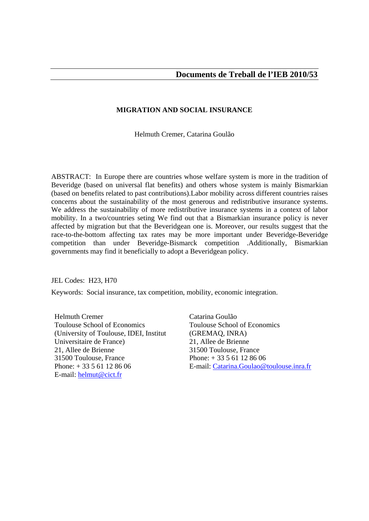# **MIGRATION AND SOCIAL INSURANCE**

Helmuth Cremer, Catarina Goulão

ABSTRACT:In Europe there are countries whose welfare system is more in the tradition of Beveridge (based on universal flat benefits) and others whose system is mainly Bismarkian (based on benefits related to past contributions).Labor mobility across different countries raises concerns about the sustainability of the most generous and redistributive insurance systems. We address the sustainability of more redistributive insurance systems in a context of labor mobility. In a two/countries seting We find out that a Bismarkian insurance policy is never affected by migration but that the Beveridgean one is. Moreover, our results suggest that the race-to-the-bottom affecting tax rates may be more important under Beveridge-Beveridge competition than under Beveridge-Bismarck competition .Additionally, Bismarkian governments may find it beneficially to adopt a Beveridgean policy.

JEL Codes: H23, H70

Keywords: Social insurance, tax competition, mobility, economic integration.

Helmuth Cremer Toulouse School of Economics (University of Toulouse, IDEI, Institut Universitaire de France) 21, Allee de Brienne 31500 Toulouse, France Phone: + 33 5 61 12 86 06 E-mail: helmut@cict.fr

Catarina Goulão Toulouse School of Economics (GREMAQ, INRA) 21, Allee de Brienne 31500 Toulouse, France Phone: + 33 5 61 12 86 06 E-mail: Catarina.Goulao@toulouse.inra.fr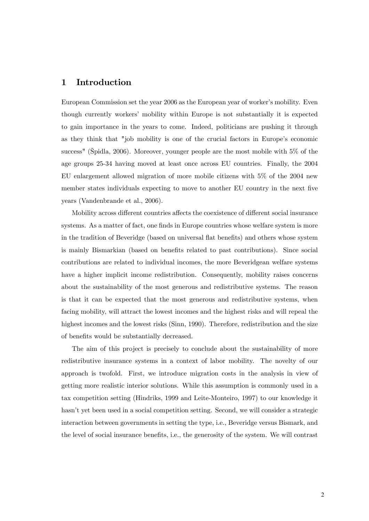# 1 Introduction

European Commission set the year 2006 as the European year of worker's mobility. Even though currently workersí mobility within Europe is not substantially it is expected to gain importance in the years to come. Indeed, politicians are pushing it through as they think that "job mobility is one of the crucial factors in Europe's economic success" (äpidla, 2006). Moreover, younger people are the most mobile with 5% of the age groups 25-34 having moved at least once across EU countries. Finally, the 2004 EU enlargement allowed migration of more mobile citizens with 5% of the 2004 new member states individuals expecting to move to another EU country in the next five years (Vandenbrande et al., 2006).

Mobility across different countries affects the coexistence of different social insurance systems. As a matter of fact, one finds in Europe countries whose welfare system is more in the tradition of Beveridge (based on universal flat benefits) and others whose system is mainly Bismarkian (based on benefits related to past contributions). Since social contributions are related to individual incomes, the more Beveridgean welfare systems have a higher implicit income redistribution. Consequently, mobility raises concerns about the sustainability of the most generous and redistributive systems. The reason is that it can be expected that the most generous and redistributive systems, when facing mobility, will attract the lowest incomes and the highest risks and will repeal the highest incomes and the lowest risks (Sinn, 1990). Therefore, redistribution and the size of benefits would be substantially decreased.

The aim of this project is precisely to conclude about the sustainability of more redistributive insurance systems in a context of labor mobility. The novelty of our approach is twofold. First, we introduce migration costs in the analysis in view of getting more realistic interior solutions. While this assumption is commonly used in a tax competition setting (Hindriks, 1999 and Leite-Monteiro, 1997) to our knowledge it hasn't yet been used in a social competition setting. Second, we will consider a strategic interaction between governments in setting the type, i.e., Beveridge versus Bismark, and the level of social insurance benefits, i.e., the generosity of the system. We will contrast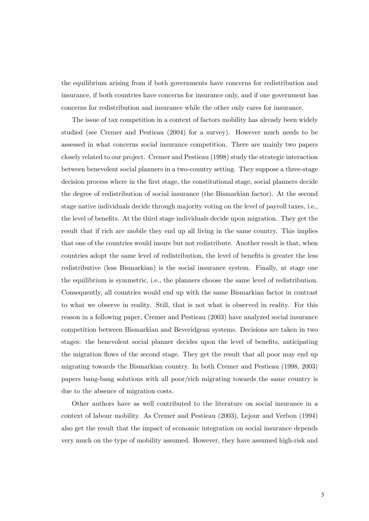the equilibrium arising from if both governments have concerns for redistribution and insurance, if both countries have concerns for insurance only, and if one government has concerns for redistribution and insurance while the other only cares for insurance.

The issue of tax competition in a context of factors mobility has already been widely studied (see Cremer and Pestieau (2004) for a survey). However much needs to be assessed in what concerns social insurance competition. There are mainly two papers closely related to our project. Cremer and Pestieau (1998) study the strategic interaction between benevolent social planners in a two-country setting. They suppose a three-stage decision process where in the first stage, the constitutional stage, social planners decide the degree of redistribution of social insurance (the Bismarkian factor). At the second stage native individuals decide through majority voting on the level of payroll taxes, i.e., the level of benefits. At the third stage individuals decide upon migration. They get the result that if rich are mobile they end up all living in the same country. This implies that one of the countries would insure but not redistribute. Another result is that, when countries adopt the same level of redistribution, the level of benefits is greater the less redistributive (less Bismarkian) is the social insurance system. Finally, at stage one the equilibrium is symmetric, i.e., the planners choose the same level of redistribution. Consequently, all countries would end up with the same Bismarkian factor in contrast to what we observe in reality. Still, that is not what is observed in reality. For this reason in a following paper, Cremer and Pestieau (2003) have analyzed social insurance competition between Bismarkian and Beveridgean systems. Decisions are taken in two stages: the benevolent social planner decides upon the level of benefits, anticipating the migration flows of the second stage. They get the result that all poor may end up migrating towards the Bismarkian country. In both Cremer and Pestieau (1998, 2003) papers bang-bang solutions with all poor/rich migrating towards the same country is due to the absence of migration costs.

Other authors have as well contributed to the literature on social insurance in a context of labour mobility. As Cremer and Pestieau (2003), Lejour and Verbon (1994) also get the result that the impact of economic integration on social insurance depends very much on the type of mobility assumed. However, they have assumed high-risk and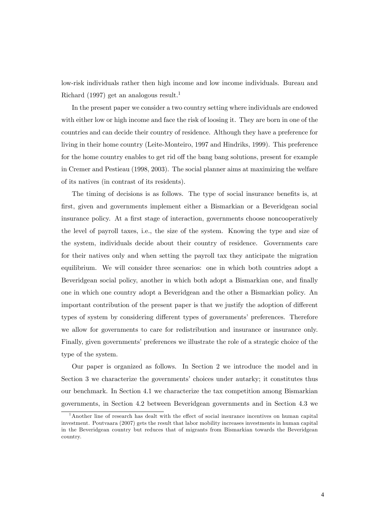low-risk individuals rather then high income and low income individuals. Bureau and Richard (1997) get an analogous result.<sup>1</sup>

In the present paper we consider a two country setting where individuals are endowed with either low or high income and face the risk of loosing it. They are born in one of the countries and can decide their country of residence. Although they have a preference for living in their home country (Leite-Monteiro, 1997 and Hindriks, 1999). This preference for the home country enables to get rid off the bang bang solutions, present for example in Cremer and Pestieau (1998, 2003). The social planner aims at maximizing the welfare of its natives (in contrast of its residents).

The timing of decisions is as follows. The type of social insurance benefits is, at first, given and governments implement either a Bismarkian or a Beveridgean social insurance policy. At a first stage of interaction, governments choose noncooperatively the level of payroll taxes, i.e., the size of the system. Knowing the type and size of the system, individuals decide about their country of residence. Governments care for their natives only and when setting the payroll tax they anticipate the migration equilibrium. We will consider three scenarios: one in which both countries adopt a Beveridgean social policy, another in which both adopt a Bismarkian one, and finally one in which one country adopt a Beveridgean and the other a Bismarkian policy. An important contribution of the present paper is that we justify the adoption of different types of system by considering different types of governments' preferences. Therefore we allow for governments to care for redistribution and insurance or insurance only. Finally, given governments' preferences we illustrate the role of a strategic choice of the type of the system.

Our paper is organized as follows. In Section 2 we introduce the model and in Section 3 we characterize the governments' choices under autarky; it constitutes thus our benchmark. In Section 4.1 we characterize the tax competition among Bismarkian governments, in Section 4.2 between Beveridgean governments and in Section 4.3 we

 $1$ Another line of research has dealt with the effect of social insurance incentives on human capital investment. Poutvaara (2007) gets the result that labor mobility increases investments in human capital in the Beveridgean country but reduces that of migrants from Bismarkian towards the Beveridgean country.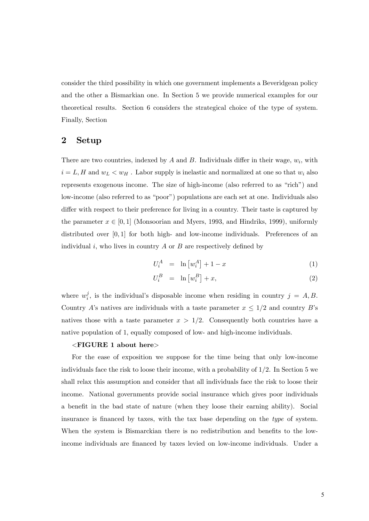consider the third possibility in which one government implements a Beveridgean policy and the other a Bismarkian one. In Section 5 we provide numerical examples for our theoretical results. Section 6 considers the strategical choice of the type of system. Finally, Section

# 2 Setup

There are two countries, indexed by  $A$  and  $B$ . Individuals differ in their wage,  $w_i$ , with  $i = L, H$  and  $w_L < w_H$ . Labor supply is inelastic and normalized at one so that  $w_i$  also represents exogenous income. The size of high-income (also referred to as "rich") and low-income (also referred to as "poor") populations are each set at one. Individuals also differ with respect to their preference for living in a country. Their taste is captured by the parameter  $x \in [0, 1]$  (Monsoorian and Myers, 1993, and Hindriks, 1999), uniformly distributed over  $[0, 1]$  for both high- and low-income individuals. Preferences of an individual i, who lives in country  $A$  or  $B$  are respectively defined by

$$
U_i^A = \ln \left[ w_i^A \right] + 1 - x \tag{1}
$$

$$
U_i^B = \ln \left[ w_i^B \right] + x,\tag{2}
$$

where  $w_i^j$  $i<sub>i</sub>$ , is the individual's disposable income when residing in country  $j = A, B$ . Country A's natives are individuals with a taste parameter  $x \leq 1/2$  and country B's natives those with a taste parameter  $x > 1/2$ . Consequently both countries have a native population of 1, equally composed of low- and high-income individuals.

#### <FIGURE 1 about here>

For the ease of exposition we suppose for the time being that only low-income individuals face the risk to loose their income, with a probability of  $1/2$ . In Section 5 we shall relax this assumption and consider that all individuals face the risk to loose their income. National governments provide social insurance which gives poor individuals a benefit in the bad state of nature (when they loose their earning ability). Social insurance is financed by taxes, with the tax base depending on the type of system. When the system is Bismarckian there is no redistribution and benefits to the lowincome individuals are financed by taxes levied on low-income individuals. Under a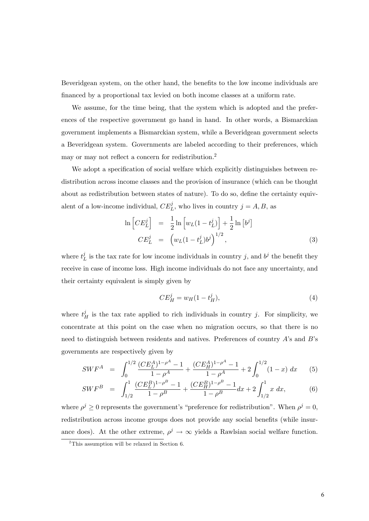Beveridgean system, on the other hand, the benefits to the low income individuals are Önanced by a proportional tax levied on both income classes at a uniform rate.

We assume, for the time being, that the system which is adopted and the preferences of the respective government go hand in hand. In other words, a Bismarckian government implements a Bismarckian system, while a Beveridgean government selects a Beveridgean system. Governments are labeled according to their preferences, which may or may not reflect a concern for redistribution.<sup>2</sup>

We adopt a specification of social welfare which explicitly distinguishes between redistribution across income classes and the provision of insurance (which can be thought about as redistribution between states of nature). To do so, define the certainty equivalent of a low-income individual,  $CE<sub>L</sub><sup>j</sup>$ , who lives in country  $j = A, B$ , as

$$
\ln\left[CE_{L}^{j}\right] = \frac{1}{2}\ln\left[w_{L}(1-t_{L}^{j})\right] + \frac{1}{2}\ln\left[b^{j}\right]
$$
\n
$$
CE_{L}^{j} = \left(w_{L}(1-t_{L}^{j})b^{j}\right)^{1/2},
$$
\n(3)

where  $t_l^j$  $\mu_L^j$  is the tax rate for low income individuals in country j, and  $b^j$  the benefit they receive in case of income loss. High income individuals do not face any uncertainty, and their certainty equivalent is simply given by

$$
CE_H^j = w_H (1 - t_H^j),\tag{4}
$$

where  $t_H^j$  is the tax rate applied to rich individuals in country j. For simplicity, we concentrate at this point on the case when no migration occurs, so that there is no need to distinguish between residents and natives. Preferences of country  $A$ 's and  $B$ 's governments are respectively given by

$$
SWF^{A} = \int_{0}^{1/2} \frac{(CE_{L}^{A})^{1-\rho^{A}} - 1}{1-\rho^{A}} + \frac{(CE_{H}^{A})^{1-\rho^{A}} - 1}{1-\rho^{A}} + 2\int_{0}^{1/2} (1-x) dx
$$
 (5)

$$
SWF^B = \int_{1/2}^1 \frac{(CE_L^B)^{1-\rho^B} - 1}{1-\rho^B} + \frac{(CE_H^B)^{1-\rho^B} - 1}{1-\rho^B} dx + 2 \int_{1/2}^1 x \, dx,\tag{6}
$$

where  $\rho^j \geq 0$  represents the government's "preference for redistribution". When  $\rho^j = 0$ , redistribution across income groups does not provide any social benefits (while insurance does). At the other extreme,  $\rho^j \to \infty$  yields a Rawlsian social welfare function.

<sup>&</sup>lt;sup>2</sup>This assumption will be relaxed in Section 6.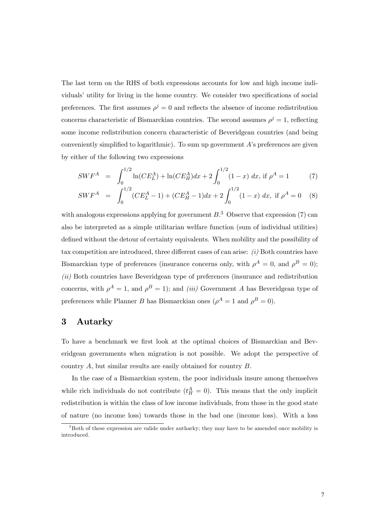The last term on the RHS of both expressions accounts for low and high income individuals' utility for living in the home country. We consider two specifications of social preferences. The first assumes  $\rho^j = 0$  and reflects the absence of income redistribution concerns characteristic of Bismarckian countries. The second assumes  $\rho^j = 1$ , reflecting some income redistribution concern characteristic of Beveridgean countries (and being conveniently simplified to logarithmic). To sum up government  $A$ 's preferences are given by either of the following two expressions

$$
SWF^{A} = \int_{0}^{1/2} \ln(CE_{L}^{A}) + \ln(CE_{H}^{A})dx + 2\int_{0}^{1/2} (1-x) dx, \text{ if } \rho^{A} = 1 \tag{7}
$$

$$
SWF^{A} = \int_{0}^{1/2} (CE_{L}^{A} - 1) + (CE_{H}^{A} - 1)dx + 2 \int_{0}^{1/2} (1 - x) dx, \text{ if } \rho^{A} = 0 \quad (8)
$$

with analogous expressions applying for government  $B$ <sup>3</sup>. Observe that expression (7) can also be interpreted as a simple utilitarian welfare function (sum of individual utilities) defined without the detour of certainty equivalents. When mobility and the possibility of tax competition are introduced, three different cases of can arise:  $(i)$  Both countries have Bismarckian type of preferences (insurance concerns only, with  $\rho^A = 0$ , and  $\rho^B = 0$ );  $(ii)$  Both countries have Beveridgean type of preferences (insurance and redistribution concerns, with  $\rho^A = 1$ , and  $\rho^B = 1$ ); and *(iii)* Government A has Beveridgean type of preferences while Planner B has Bismarckian ones  $(\rho^A = 1 \text{ and } \rho^B = 0)$ .

# 3 Autarky

To have a benchmark we first look at the optimal choices of Bismarckian and Beveridgean governments when migration is not possible. We adopt the perspective of country A, but similar results are easily obtained for country B.

In the case of a Bismarckian system, the poor individuals insure among themselves while rich individuals do not contribute  $(t_H^A = 0)$ . This means that the only implicit redistribution is within the class of low income individuals, from those in the good state of nature (no income loss) towards those in the bad one (income loss). With a loss

 $3$ Both of these expression are valide under autharky; they may have to be amended once mobility is introduced.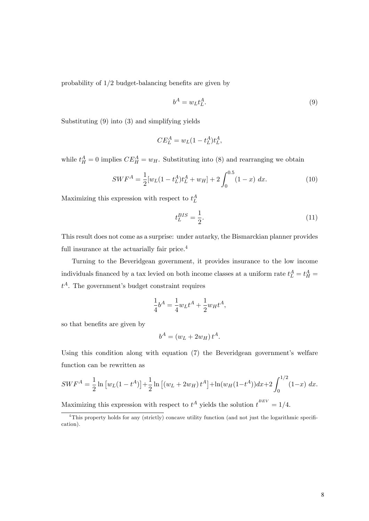probability of  $1/2$  budget-balancing benefits are given by

$$
b^A = w_L t_L^A. \tag{9}
$$

Substituting (9) into (3) and simplifying yields

$$
CE_L^A = w_L(1 - t_L^A)t_L^A,
$$

while  $t_H^A = 0$  implies  $CE_H^A = w_H$ . Substituting into (8) and rearranging we obtain

$$
SWF^{A} = \frac{1}{2}[w_{L}(1-t_{L}^{A})t_{L}^{A} + w_{H}] + 2\int_{0}^{0.5} (1-x) dx.
$$
 (10)

Maximizing this expression with respect to  $t_L^A$ 

$$
t_L^{BIS} = \frac{1}{2}.\tag{11}
$$

This result does not come as a surprise: under autarky, the Bismarckian planner provides full insurance at the actuarially fair price.<sup>4</sup>

Turning to the Beveridgean government, it provides insurance to the low income individuals financed by a tax levied on both income classes at a uniform rate  $t_L^A = t_H^A =$  $t^A$ . The government's budget constraint requires

$$
\frac{1}{4}b^A = \frac{1}{4}w_L t^A + \frac{1}{2}w_H t^A,
$$

so that benefits are given by

$$
b^A = (w_L + 2w_H) t^A.
$$

Using this condition along with equation  $(7)$  the Beveridgean government's welfare function can be rewritten as

$$
SWF^{A} = \frac{1}{2} \ln \left[ w_{L} (1 - t^{A}) \right] + \frac{1}{2} \ln \left[ (w_{L} + 2w_{H}) t^{A} \right] + \ln(w_{H} (1 - t^{A})) dx + 2 \int_{0}^{1/2} (1 - x) dx.
$$

Maximizing this expression with respect to  $t^A$  yields the solution  $t^{BEV} = 1/4$ .

 $\overline{4}$ This property holds for any (strictly) concave utility function (and not just the logarithmic specification).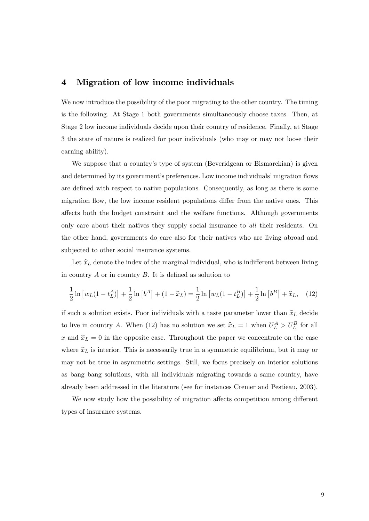# 4 Migration of low income individuals

We now introduce the possibility of the poor migrating to the other country. The timing is the following. At Stage 1 both governments simultaneously choose taxes. Then, at Stage 2 low income individuals decide upon their country of residence. Finally, at Stage 3 the state of nature is realized for poor individuals (who may or may not loose their earning ability).

We suppose that a country's type of system (Beveridgean or Bismarckian) is given and determined by its government's preferences. Low income individuals' migration flows are defined with respect to native populations. Consequently, as long as there is some migration flow, the low income resident populations differ from the native ones. This affects both the budget constraint and the welfare functions. Although governments only care about their natives they supply social insurance to *all* their residents. On the other hand, governments do care also for their natives who are living abroad and subjected to other social insurance systems.

Let  $\hat{x}_L$  denote the index of the marginal individual, who is indifferent between living in country  $A$  or in country  $B$ . It is defined as solution to

$$
\frac{1}{2}\ln\left[w_L(1-t_L^A)\right] + \frac{1}{2}\ln\left[b^A\right] + (1-\hat{x}_L) = \frac{1}{2}\ln\left[w_L(1-t_L^B)\right] + \frac{1}{2}\ln\left[b^B\right] + \hat{x}_L,\tag{12}
$$

if such a solution exists. Poor individuals with a taste parameter lower than  $\hat{x}_L$  decide to live in country A. When (12) has no solution we set  $\hat{x}_L = 1$  when  $U_L^A > U_L^B$  for all x and  $\hat{x}_L = 0$  in the opposite case. Throughout the paper we concentrate on the case where  $\hat{x}_L$  is interior. This is necessarily true in a symmetric equilibrium, but it may or may not be true in asymmetric settings. Still, we focus precisely on interior solutions as bang bang solutions, with all individuals migrating towards a same country, have already been addressed in the literature (see for instances Cremer and Pestieau, 2003).

We now study how the possibility of migration affects competition among different types of insurance systems.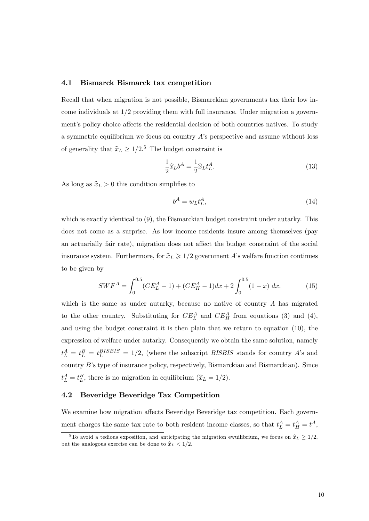### 4.1 Bismarck Bismarck tax competition

Recall that when migration is not possible, Bismarckian governments tax their low income individuals at  $1/2$  providing them with full insurance. Under migration a government's policy choice affects the residential decision of both countries natives. To study a symmetric equilibrium we focus on country  $A$ 's perspective and assume without loss of generality that  $\hat{x}_L \ge 1/2$ .<sup>5</sup> The budget constraint is

$$
\frac{1}{2}\hat{x}_L b^A = \frac{1}{2}\hat{x}_L t_L^A.
$$
\n(13)

As long as  $\hat{x}_L > 0$  this condition simplifies to

$$
b^A = w_L t_L^A,\tag{14}
$$

which is exactly identical to  $(9)$ , the Bismarckian budget constraint under autarky. This does not come as a surprise. As low income residents insure among themselves (pay an actuarially fair rate), migration does not affect the budget constraint of the social insurance system. Furthermore, for  $\hat{x}_L \geq 1/2$  government A's welfare function continues to be given by

$$
SWF^{A} = \int_{0}^{0.5} (CE_{L}^{A} - 1) + (CE_{H}^{A} - 1)dx + 2 \int_{0}^{0.5} (1 - x) dx,
$$
 (15)

which is the same as under autarky, because no native of country  $A$  has migrated to the other country. Substituting for  $CE_L^A$  and  $CE_H^A$  from equations (3) and (4), and using the budget constraint it is then plain that we return to equation (10), the expression of welfare under autarky. Consequently we obtain the same solution, namely  $t_L^A = t_L^B = t_L^{BISBIS} = 1/2$ , (where the subscript *BISBIS* stands for country A's and country  $B$ 's type of insurance policy, respectively, Bismarckian and Bismarckian). Since  $t_L^A = t_L^B$ , there is no migration in equilibrium  $(\hat{x}_L = 1/2)$ .

## 4.2 Beveridge Beveridge Tax Competition

We examine how migration affects Beveridge Beveridge tax competition. Each government charges the same tax rate to both resident income classes, so that  $t_L^A = t_H^A = t^A$ ,

 $\overline{5}$ To avoid a tedious exposition, and anticipating the migration ewuilibrium, we focus on  $\hat{x}_L \geq 1/2$ , but the analogous exercise can be done to  $\hat{x}_L < 1/2$ .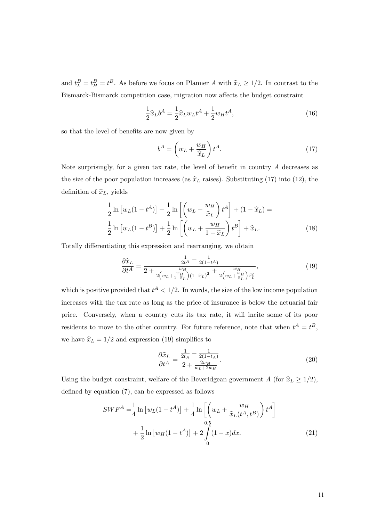and  $t_L^B = t_H^B = t^B$ . As before we focus on Planner A with  $\hat{x}_L \ge 1/2$ . In contrast to the Bismarck-Bismarck competition case, migration now affects the budget constraint

$$
\frac{1}{2}\hat{x}_{L}b^{A} = \frac{1}{2}\hat{x}_{L}w_{L}t^{A} + \frac{1}{2}w_{H}t^{A},
$$
\n(16)

so that the level of benefits are now given by

$$
b^A = \left(w_L + \frac{w_H}{\hat{x}_L}\right) t^A.
$$
\n(17)

Note surprisingly, for a given tax rate, the level of benefit in country  $A$  decreases as the size of the poor population increases (as  $\hat{x}_L$  raises). Substituting (17) into (12), the definition of  $\widehat{x}_L$ , yields

$$
\frac{1}{2}\ln\left[w_L(1-t^A)\right] + \frac{1}{2}\ln\left[\left(w_L + \frac{w_H}{\hat{x}_L}\right)t^A\right] + (1-\hat{x}_L) =
$$
\n
$$
\frac{1}{2}\ln\left[w_L(1-t^B)\right] + \frac{1}{2}\ln\left[\left(w_L + \frac{w_H}{1-\hat{x}_L}\right)t^B\right] + \hat{x}_L.
$$
\n(18)

Totally differentiating this expression and rearranging, we obtain

$$
\frac{\partial \hat{x}_L}{\partial t^A} = \frac{\frac{1}{2t^A} - \frac{1}{2(1-t^A)}}{2 + \frac{w_H}{2(w_L + \frac{w_H}{1-\hat{x}_L})(1-\hat{x}_L)^2} + \frac{w_H}{2(w_L + \frac{w_H}{\hat{x}_L})\hat{x}_L^2}},\tag{19}
$$

which is positive provided that  $t^A < 1/2$ . In words, the size of the low income population increases with the tax rate as long as the price of insurance is below the actuarial fair price. Conversely, when a country cuts its tax rate, it will incite some of its poor residents to move to the other country. For future reference, note that when  $t^A = t^B$ , we have  $\widehat{x}_L = 1/2$  and expression (19) simplifies to

$$
\frac{\partial \hat{x}_L}{\partial t^A} = \frac{\frac{1}{2t_A} - \frac{1}{2(1-t_A)}}{2 + \frac{2w_H}{w_L + 2w_H}}.\tag{20}
$$

Using the budget constraint, welfare of the Beveridgean government A (for  $\hat{x}_L \geq 1/2$ ), defined by equation  $(7)$ , can be expressed as follows

$$
SWF^{A} = \frac{1}{4} \ln \left[ w_{L}(1 - t^{A}) \right] + \frac{1}{4} \ln \left[ \left( w_{L} + \frac{w_{H}}{\hat{x}_{L}(t^{A}, t^{B})} \right) t^{A} \right] + \frac{1}{2} \ln \left[ w_{H}(1 - t^{A}) \right] + 2 \int_{0}^{0.5} (1 - x) dx.
$$
 (21)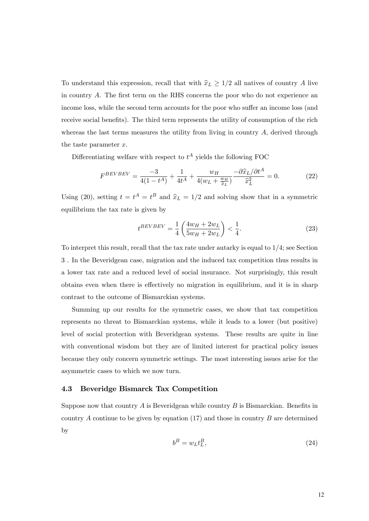To understand this expression, recall that with  $\hat{x}_L \geq 1/2$  all natives of country A live in country  $A$ . The first term on the RHS concerns the poor who do not experience an income loss, while the second term accounts for the poor who suffer an income loss (and receive social benefits). The third term represents the utility of consumption of the rich whereas the last terms measures the utility from living in country  $A$ , derived through the taste parameter  $x$ .

Differentiating welfare with respect to  $t^A$  yields the following FOC

$$
F^{BEVBEV} = \frac{-3}{4(1 - t^A)} + \frac{1}{4t^A} + \frac{w_H}{4(w_L + \frac{w_H}{\hat{x}_L})} - \frac{\partial \hat{x}_L / \partial t^A}{\hat{x}_L^2} = 0.
$$
 (22)

Using (20), setting  $t = t^A = t^B$  and  $\hat{x}_L = 1/2$  and solving show that in a symmetric equilibrium the tax rate is given by

$$
t^{BEVBEV} = \frac{1}{4} \left( \frac{4w_H + 2w_L}{5w_H + 2w_L} \right) < \frac{1}{4}.
$$
 (23)

To interpret this result, recall that the tax rate under autarky is equal to  $1/4$ ; see Section 3 . In the Beveridgean case, migration and the induced tax competition thus results in a lower tax rate and a reduced level of social insurance. Not surprisingly, this result obtains even when there is effectively no migration in equilibrium, and it is in sharp contrast to the outcome of Bismarckian systems.

Summing up our results for the symmetric cases, we show that tax competition represents no threat to Bismarckian systems, while it leads to a lower (but positive) level of social protection with Beveridgean systems. These results are quite in line with conventional wisdom but they are of limited interest for practical policy issues because they only concern symmetric settings. The most interesting issues arise for the asymmetric cases to which we now turn.

### 4.3 Beveridge Bismarck Tax Competition

Suppose now that country  $A$  is Beveridgean while country  $B$  is Bismarckian. Benefits in country A continue to be given by equation  $(17)$  and those in country B are determined by

$$
b^B = w_L t_L^B,\t\t(24)
$$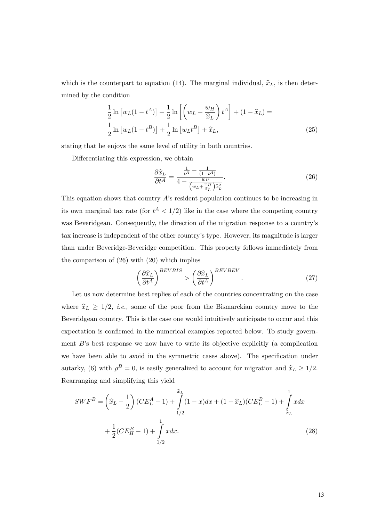which is the counterpart to equation (14). The marginal individual,  $\hat{x}_L$ , is then determined by the condition

$$
\frac{1}{2}\ln\left[w_L(1-t^A)\right] + \frac{1}{2}\ln\left[\left(w_L + \frac{w_H}{\hat{x}_L}\right)t^A\right] + (1-\hat{x}_L) =
$$
\n
$$
\frac{1}{2}\ln\left[w_L(1-t^B)\right] + \frac{1}{2}\ln\left[w_Lt^B\right] + \hat{x}_L,
$$
\n(25)

stating that he enjoys the same level of utility in both countries.

Differentiating this expression, we obtain

$$
\frac{\partial \widehat{x}_L}{\partial t^A} = \frac{\frac{1}{t^A} - \frac{1}{(1 - t^A)}}{4 + \frac{w_H}{\left(w_L + \frac{w_H}{\widehat{x}_L}\right) \widehat{x}_L^2}}.
$$
\n(26)

This equation shows that country  $A$ 's resident population continues to be increasing in its own marginal tax rate (for  $t^A < 1/2$ ) like in the case where the competing country was Beveridgean. Consequently, the direction of the migration response to a country's tax increase is independent of the other countryís type. However, its magnitude is larger than under Beveridge-Beveridge competition. This property follows immediately from the comparison of (26) with (20) which implies

$$
\left(\frac{\partial \hat{x}_L}{\partial t^A}\right)^{BEVBIS} > \left(\frac{\partial \hat{x}_L}{\partial t^A}\right)^{BEVBEV}.
$$
\n(27)

Let us now determine best replies of each of the countries concentrating on the case where  $\hat{x}_L \geq 1/2$ , *i.e.*, some of the poor from the Bismarckian country move to the Beveridgean country. This is the case one would intuitively anticipate to occur and this expectation is confirmed in the numerical examples reported below. To study government  $B$ 's best response we now have to write its objective explicitly (a complication we have been able to avoid in the symmetric cases above). The specification under autarky, (6) with  $\rho^B = 0$ , is easily generalized to account for migration and  $\hat{x}_L \ge 1/2$ . Rearranging and simplifying this yield

$$
SWF^{B} = \left(\hat{x}_{L} - \frac{1}{2}\right)(CE_{L}^{A} - 1) + \int_{1/2}^{\hat{x}_{L}} (1 - x)dx + (1 - \hat{x}_{L})(CE_{L}^{B} - 1) + \int_{\hat{x}_{L}}^{1} xdx + \frac{1}{2}(CE_{H}^{B} - 1) + \int_{1/2}^{1} xdx.
$$
\n(28)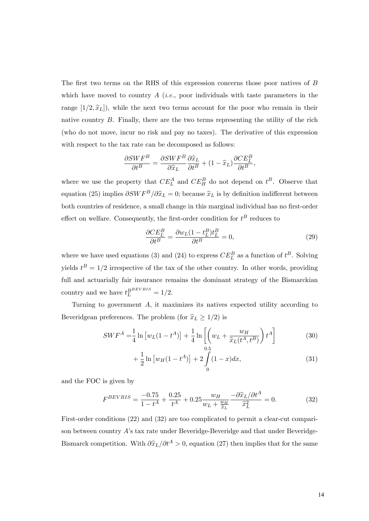The first two terms on the RHS of this expression concerns those poor natives of  $B$ which have moved to country  $A$  (*i.e.*, poor individuals with taste parameters in the range  $[1/2,\hat{x}_L]$ , while the next two terms account for the poor who remain in their native country  $B$ . Finally, there are the two terms representing the utility of the rich (who do not move, incur no risk and pay no taxes). The derivative of this expression with respect to the tax rate can be decomposed as follows:

$$
\frac{\partial SWF^B}{\partial t^B} = \frac{\partial SWF^B}{\partial \hat{x}_L} \frac{\partial \hat{x}_L}{\partial t^B} + (1 - \hat{x}_L) \frac{\partial CE_L^B}{\partial t^B},
$$

where we use the property that  $CE_L^A$  and  $CE_H^B$  do not depend on  $t^B$ . Observe that equation (25) implies  $\partial SWF^B/\partial \hat{x}_L = 0$ ; because  $\hat{x}_L$  is by definition indifferent between both countries of residence, a small change in this marginal individual has no first-order effect on welfare. Consequently, the first-order condition for  $t^B$  reduces to

$$
\frac{\partial CE_L^B}{\partial t^B} = \frac{\partial w_L (1 - t_L^B) t_L^B}{\partial t^B} = 0,\tag{29}
$$

where we have used equations (3) and (24) to express  $CE_L^B$  as a function of  $t^B$ . Solving yields  $t^B = 1/2$  irrespective of the tax of the other country. In other words, providing full and actuarially fair insurance remains the dominant strategy of the Bismarckian country and we have  $t_L^{BBEVBIS} = 1/2$ .

Turning to government A; it maximizes its natives expected utility according to Beveridgean preferences. The problem (for  $\hat{x}_L \geq 1/2$ ) is

$$
SWF^{A} = \frac{1}{4}\ln\left[w_{L}(1-t^{A})\right] + \frac{1}{4}\ln\left[\left(w_{L} + \frac{w_{H}}{\hat{x}_{L}(t^{A}, t^{B})}\right)t^{A}\right]
$$
(30)

$$
+\frac{1}{2}\ln\left[w_H(1-t^A)\right] + 2\int\limits_0^{0.5}(1-x)dx,\tag{31}
$$

and the FOC is given by

$$
F^{BEVBIS} = \frac{-0.75}{1 - t^A} + \frac{0.25}{t^A} + 0.25 \frac{w_H}{w_L + \frac{w_H}{\hat{x}_L}} - \frac{\partial \hat{x}_L / \partial t^A}{\hat{x}_L^2} = 0. \tag{32}
$$

First-order conditions (22) and (32) are too complicated to permit a clear-cut comparison between country Aís tax rate under Beveridge-Beveridge and that under Beveridge-Bismarck competition. With  $\partial \hat{x}_L/\partial t^A > 0$ , equation (27) then implies that for the same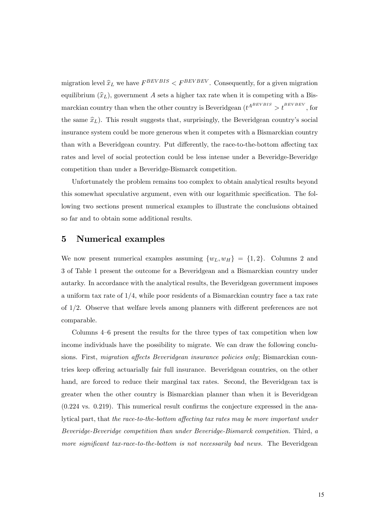migration level  $\hat{x}_L$  we have  $F^{BEVBIS} < F^{BEVBEV}$ . Consequently, for a given migration equilibrium  $(\hat{x}_L)$ , government A sets a higher tax rate when it is competing with a Bismarckian country than when the other country is Beveridgean  $(t^{A^{BEVBIS}} > t^{BEVBEV}$ , for the same  $\hat{x}_L$ ). This result suggests that, surprisingly, the Beveridgean country's social insurance system could be more generous when it competes with a Bismarckian country than with a Beveridgean country. Put differently, the race-to-the-bottom affecting tax rates and level of social protection could be less intense under a Beveridge-Beveridge competition than under a Beveridge-Bismarck competition.

Unfortunately the problem remains too complex to obtain analytical results beyond this somewhat speculative argument, even with our logarithmic specification. The following two sections present numerical examples to illustrate the conclusions obtained so far and to obtain some additional results.

# 5 Numerical examples

We now present numerical examples assuming  $\{w_L, w_H\} = \{1, 2\}$ . Columns 2 and 3 of Table 1 present the outcome for a Beveridgean and a Bismarckian country under autarky. In accordance with the analytical results, the Beveridgean government imposes a uniform tax rate of  $1/4$ , while poor residents of a Bismarckian country face a tax rate of  $1/2$ . Observe that welfare levels among planners with different preferences are not comparable.

Columns  $4-6$  present the results for the three types of tax competition when low income individuals have the possibility to migrate. We can draw the following conclusions. First, *migration affects Beveridgean insurance policies only*; Bismarckian countries keep offering actuarially fair full insurance. Beveridgean countries, on the other hand, are forced to reduce their marginal tax rates. Second, the Beveridgean tax is greater when the other country is Bismarckian planner than when it is Beveridgean  $(0.224 \text{ vs. } 0.219)$ . This numerical result confirms the conjecture expressed in the analytical part, that the race-to-the-bottom affecting tax rates may be more important under Beveridge-Beveridge competition than under Beveridge-Bismarck competition. Third, a more significant tax-race-to-the-bottom is not necessarily bad news. The Beveridgean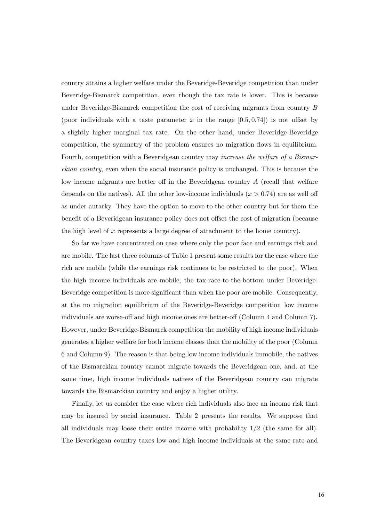country attains a higher welfare under the Beveridge-Beveridge competition than under Beveridge-Bismarck competition, even though the tax rate is lower. This is because under Beveridge-Bismarck competition the cost of receiving migrants from country B (poor individuals with a taste parameter x in the range  $[0.5, 0.74]$ ) is not offset by a slightly higher marginal tax rate. On the other hand, under Beveridge-Beveridge competition, the symmetry of the problem ensures no migration flows in equilibrium. Fourth, competition with a Beveridgean country may increase the welfare of a Bismarckian country, even when the social insurance policy is unchanged. This is because the low income migrants are better off in the Beveridgean country  $A$  (recall that welfare depends on the natives). All the other low-income individuals  $(x > 0.74)$  are as well off as under autarky. They have the option to move to the other country but for them the benefit of a Beveridgean insurance policy does not offset the cost of migration (because the high level of  $x$  represents a large degree of attachment to the home country).

So far we have concentrated on case where only the poor face and earnings risk and are mobile. The last three columns of Table 1 present some results for the case where the rich are mobile (while the earnings risk continues to be restricted to the poor). When the high income individuals are mobile, the tax-race-to-the-bottom under Beveridge-Beveridge competition is more significant than when the poor are mobile. Consequently, at the no migration equilibrium of the Beveridge-Beveridge competition low income individuals are worse-off and high income ones are better-off (Column 4 and Column 7). However, under Beveridge-Bismarck competition the mobility of high income individuals generates a higher welfare for both income classes than the mobility of the poor (Column 6 and Column 9). The reason is that being low income individuals immobile, the natives of the Bismarckian country cannot migrate towards the Beveridgean one, and, at the same time, high income individuals natives of the Beveridgean country can migrate towards the Bismarckian country and enjoy a higher utility.

Finally, let us consider the case where rich individuals also face an income risk that may be insured by social insurance. Table 2 presents the results. We suppose that all individuals may loose their entire income with probability  $1/2$  (the same for all). The Beveridgean country taxes low and high income individuals at the same rate and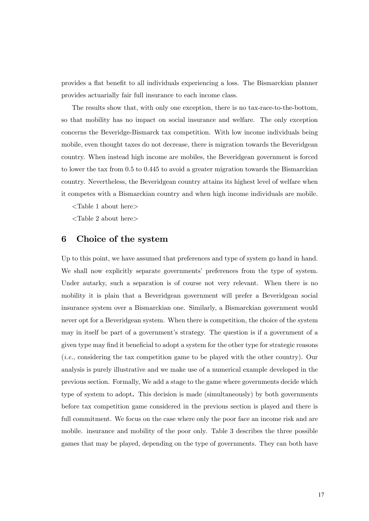provides a flat benefit to all individuals experiencing a loss. The Bismarckian planner provides actuarially fair full insurance to each income class.

The results show that, with only one exception, there is no tax-race-to-the-bottom, so that mobility has no impact on social insurance and welfare. The only exception concerns the Beveridge-Bismarck tax competition. With low income individuals being mobile, even thought taxes do not decrease, there is migration towards the Beveridgean country. When instead high income are mobiles, the Beveridgean government is forced to lower the tax from 0.5 to 0.445 to avoid a greater migration towards the Bismarckian country. Nevertheless, the Beveridgean country attains its highest level of welfare when it competes with a Bismarckian country and when high income individuals are mobile.

<Table 1 about here>

<Table 2 about here>

# 6 Choice of the system

Up to this point, we have assumed that preferences and type of system go hand in hand. We shall now explicitly separate governments' preferences from the type of system. Under autarky, such a separation is of course not very relevant. When there is no mobility it is plain that a Beveridgean government will prefer a Beveridgean social insurance system over a Bismarckian one. Similarly, a Bismarckian government would never opt for a Beveridgean system. When there is competition, the choice of the system may in itself be part of a government's strategy. The question is if a government of a given type may find it beneficial to adopt a system for the other type for strategic reasons (i.e., considering the tax competition game to be played with the other country). Our analysis is purely illustrative and we make use of a numerical example developed in the previous section. Formally, We add a stage to the game where governments decide which type of system to adopt. This decision is made (simultaneously) by both governments before tax competition game considered in the previous section is played and there is full commitment. We focus on the case where only the poor face an income risk and are mobile. insurance and mobility of the poor only. Table 3 describes the three possible games that may be played, depending on the type of governments. They can both have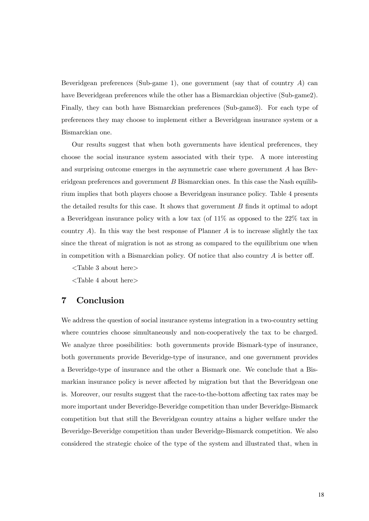Beveridgean preferences (Sub-game 1), one government (say that of country  $A$ ) can have Beveridgean preferences while the other has a Bismarckian objective (Sub-game2). Finally, they can both have Bismarckian preferences (Sub-game3). For each type of preferences they may choose to implement either a Beveridgean insurance system or a Bismarckian one.

Our results suggest that when both governments have identical preferences, they choose the social insurance system associated with their type. A more interesting and surprising outcome emerges in the asymmetric case where government A has Beveridgean preferences and government  $B$  Bismarckian ones. In this case the Nash equilibrium implies that both players choose a Beveridgean insurance policy. Table 4 presents the detailed results for this case. It shows that government  $B$  finds it optimal to adopt a Beveridgean insurance policy with a low tax (of 11% as opposed to the 22% tax in country  $A$ ). In this way the best response of Planner  $A$  is to increase slightly the tax since the threat of migration is not as strong as compared to the equilibrium one when in competition with a Bismarckian policy. Of notice that also country  $A$  is better off.

- <Table 3 about here>
- $\langle$ Table 4 about here $>$

# 7 Conclusion

We address the question of social insurance systems integration in a two-country setting where countries choose simultaneously and non-cooperatively the tax to be charged. We analyze three possibilities: both governments provide Bismark-type of insurance, both governments provide Beveridge-type of insurance, and one government provides a Beveridge-type of insurance and the other a Bismark one. We conclude that a Bismarkian insurance policy is never affected by migration but that the Beveridgean one is. Moreover, our results suggest that the race-to-the-bottom affecting tax rates may be more important under Beveridge-Beveridge competition than under Beveridge-Bismarck competition but that still the Beveridgean country attains a higher welfare under the Beveridge-Beveridge competition than under Beveridge-Bismarck competition. We also considered the strategic choice of the type of the system and illustrated that, when in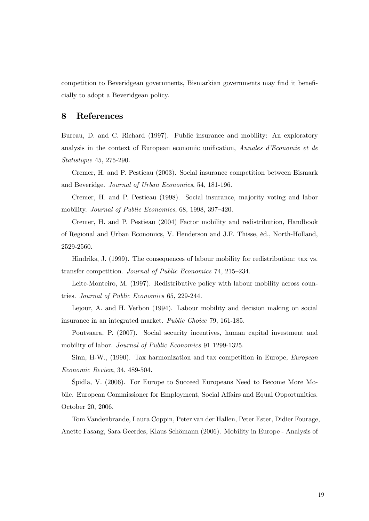competition to Beveridgean governments, Bismarkian governments may find it beneficially to adopt a Beveridgean policy.

# 8 References

Bureau, D. and C. Richard (1997). Public insurance and mobility: An exploratory analysis in the context of European economic unification, Annales d'Economie et de Statistique 45, 275-290.

Cremer, H. and P. Pestieau (2003). Social insurance competition between Bismark and Beveridge. Journal of Urban Economics, 54, 181-196.

Cremer, H. and P. Pestieau (1998). Social insurance, majority voting and labor mobility. Journal of Public Economics, 68, 1998, 397-420.

Cremer, H. and P. Pestieau (2004) Factor mobility and redistribution, Handbook of Regional and Urban Economics, V. Henderson and J.F. Thisse, Èd., North-Holland, 2529-2560.

Hindriks, J. (1999). The consequences of labour mobility for redistribution: tax vs. transfer competition. Journal of Public Economics 74, 215–234.

Leite-Monteiro, M. (1997). Redistributive policy with labour mobility across countries. Journal of Public Economics 65, 229-244.

Lejour, A. and H. Verbon (1994). Labour mobility and decision making on social insurance in an integrated market. Public Choice 79, 161-185.

Poutvaara, P. (2007). Social security incentives, human capital investment and mobility of labor. *Journal of Public Economics* 91 1299-1325.

Sinn, H-W., (1990). Tax harmonization and tax competition in Europe, European Economic Review, 34, 489-504.

äpidla, V. (2006). For Europe to Succeed Europeans Need to Become More Mobile. European Commissioner for Employment, Social Affairs and Equal Opportunities. October 20, 2006.

Tom Vandenbrande, Laura Coppin, Peter van der Hallen, Peter Ester, Didier Fourage, Anette Fasang, Sara Geerdes, Klaus Schömann (2006). Mobility in Europe - Analysis of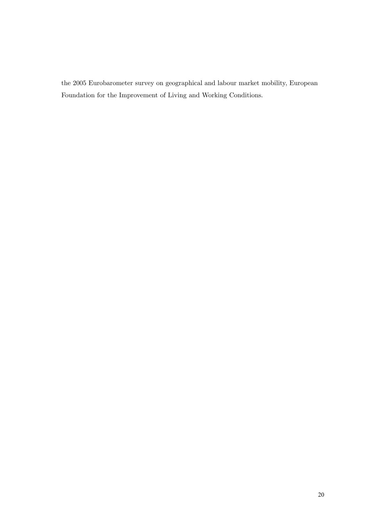the 2005 Eurobarometer survey on geographical and labour market mobility, European Foundation for the Improvement of Living and Working Conditions.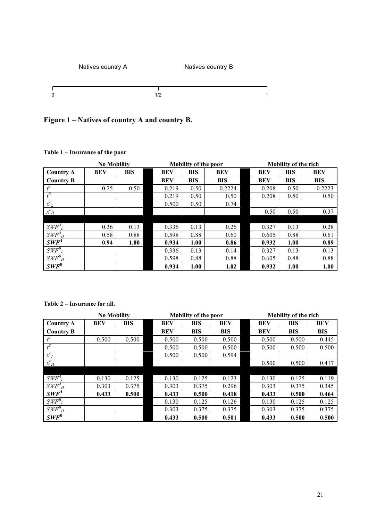



|                                 | <b>No Mobility</b> |            |            | <b>Mobility of the poor</b> |            |            | <b>Mobility of the rich</b> |            |  |
|---------------------------------|--------------------|------------|------------|-----------------------------|------------|------------|-----------------------------|------------|--|
| <b>Country A</b>                | <b>BEV</b>         | <b>BIS</b> | <b>BEV</b> | <b>BIS</b>                  | BEV        | <b>BEV</b> | <b>BIS</b>                  | <b>BEV</b> |  |
| <b>Country B</b>                |                    |            | <b>BEV</b> | <b>BIS</b>                  | <b>BIS</b> | <b>BEV</b> | <b>BIS</b>                  | <b>BIS</b> |  |
|                                 | 0.25               | 0.50       | 0.219      | 0.50                        | 0.2224     | 0.208      | 0.50                        | 0.2223     |  |
| $\overline{B}$                  |                    |            | 0.219      | 0.50                        | 0.50       | 0.208      | 0.50                        | 0.50       |  |
| $x^c_{\ L}$                     |                    |            | 0.500      | 0.50                        | 0.74       |            |                             |            |  |
| $x^c_H$                         |                    |            |            |                             |            | 0.50       | 0.50                        | 0.37       |  |
|                                 |                    |            |            |                             |            |            |                             |            |  |
| $SWF^A$                         | 0.36               | 0.13       | 0.336      | 0.13                        | 0.26       | 0.327      | 0.13                        | 0.28       |  |
| $\mathit{SWF}^A{}_{H}$          | 0.58               | 0.88       | 0.598      | 0.88                        | 0.60       | 0.605      | 0.88                        | 0.61       |  |
| $SWF^4$                         | 0.94               | 1.00       | 0.934      | 1.00                        | 0.86       | 0.932      | 1.00                        | 0.89       |  |
| $\mathit{SWF}^B_{\phantom{B}L}$ |                    |            | 0.336      | 0.13                        | 0.14       | 0.327      | 0.13                        | 0.13       |  |
| $SWF^B_{H}$                     |                    |            | 0.598      | 0.88                        | 0.88       | 0.605      | 0.88                        | 0.88       |  |
| $SWF^B$                         |                    |            | 0.934      | 1.00                        | 1.02       | 0.932      | 1.00                        | 1.00       |  |

# **Table 1 – Insurance of the poor**

**Table 2 – Insurance for all.**

|                        | <b>No Mobility</b> |            | <b>Mobility of the poor</b> |            |            | <b>Mobility of the rich</b> |            |            |
|------------------------|--------------------|------------|-----------------------------|------------|------------|-----------------------------|------------|------------|
| <b>Country A</b>       | <b>BEV</b>         | <b>BIS</b> | <b>BEV</b>                  | <b>BIS</b> | <b>BEV</b> | <b>BEV</b>                  | <b>BIS</b> | <b>BEV</b> |
| <b>Country B</b>       |                    |            | <b>BEV</b>                  | <b>BIS</b> | <b>BIS</b> | <b>BEV</b>                  | <b>BIS</b> | <b>BIS</b> |
|                        | 0.500              | 0.500      | 0.500                       | 0.500      | 0.500      | 0.500                       | 0.500      | 0.445      |
| $\overline{B}$         |                    |            | 0.500                       | 0.500      | 0.500      | 0.500                       | 0.500      | 0.500      |
| $x^c_{\ L}$            |                    |            | 0.500                       | 0.500      | 0.594      |                             |            |            |
| $x^c_{H}$              |                    |            |                             |            |            | 0.500                       | 0.500      | 0.417      |
|                        |                    |            |                             |            |            |                             |            |            |
| $\mathcal{SWF}^A_L$    | 0.130              | 0.125      | 0.130                       | 0.125      | 0.123      | 0.130                       | 0.125      | 0.119      |
| $\mathit{SWF}^A{}_{H}$ | 0.303              | 0.375      | 0.303                       | 0.375      | 0.296      | 0.303                       | 0.375      | 0.345      |
| $SWF^4$                | 0.433              | 0.500      | 0.433                       | 0.500      | 0.418      | 0.433                       | 0.500      | 0.464      |
| $SWF_{L}^{B}$          |                    |            | 0.130                       | 0.125      | 0.126      | 0.130                       | 0.125      | 0.125      |
| $\mathit{SWF}^B_{H}$   |                    |            | 0.303                       | 0.375      | 0.375      | 0.303                       | 0.375      | 0.375      |
| $SWF^B$                |                    |            | 0.433                       | 0.500      | 0.501      | 0.433                       | 0.500      | 0.500      |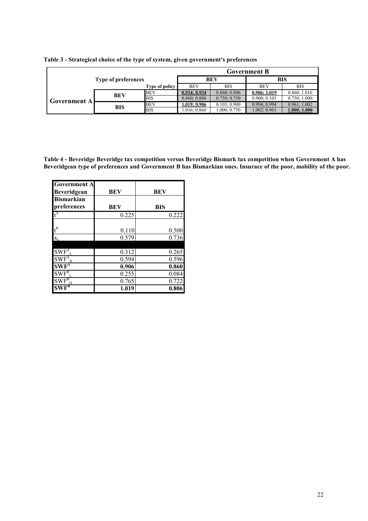|                     | Type of preferences |                |              | <b>Government B</b> |              |              |  |  |
|---------------------|---------------------|----------------|--------------|---------------------|--------------|--------------|--|--|
|                     |                     |                |              | BEV                 | <b>BIS</b>   |              |  |  |
|                     |                     | Type of policy | <b>BEV</b>   | <b>BIS</b>          | <b>BEV</b>   | <b>BIS</b>   |  |  |
| <b>Government A</b> | <b>BEV</b>          | <b>BEV</b>     | 0.934:0.934  | 0.860; 0.806        | 0.906:1.019  | 0.860; 1.016 |  |  |
|                     |                     | <b>BIS</b>     | 0.860; 0.806 | 0.750; 0.750        | 0.900; 0.103 | 0.750; 1.000 |  |  |
|                     | <b>BIS</b>          | <b>BEV</b>     | 1.019; 0.906 | 0.103; 0.900        | 0.994:0.994  | 0.961; 1.002 |  |  |
|                     |                     | <b>BIS</b>     | 1.016; 0.860 | 0.000; 0.750        | 1.002; 0.961 | 1.000; 1.000 |  |  |

|  |  | Table 3 - Strategical choice of the type of system, given government's preferences |
|--|--|------------------------------------------------------------------------------------|
|  |  |                                                                                    |

**Table 4 - Beveridge Beveridge tax competition versus Beveridge Bismark tax competition when Government A has Beveridgean type of preferences and Government B has Bismarkian ones. Insurace of the poor, mobility of the poor.**

| <b>Government A</b><br><b>Beveridgean</b>     | BEV   | BEV        |
|-----------------------------------------------|-------|------------|
| <b>Bismarkian</b><br>preferences              | BEV   | <b>BIS</b> |
| $\mathfrak{t}^{\rm A}$                        | 0.225 | 0.222      |
| $\mathfrak{t}^{\rm B}$                        | 0.110 | 0.500      |
| $\mathbf{X}_{\text{L}}$                       | 0.579 | 0.736      |
| $SWF^A$                                       | 0.312 | 0.265      |
| $\overline{\text{SWF}^{\text{A}}_{\text{H}}}$ | 0.594 | 0.596      |
| $SWF^A$                                       | 0.906 | 0.860      |
| $SWF_{L}^{B}$                                 | 0.255 | 0.084      |
| $\overline{\text{SWF}^{\text{B}}_{\text{H}}}$ | 0.765 | 0.722      |
|                                               | 1.019 | 0.806      |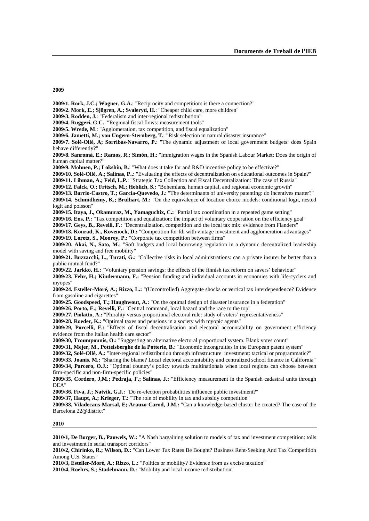#### **2009**

DEA"

**2010** 

**2009/2. Mork, E.; Sjögren, A.; Svaleryd, H.**: "Cheaper child care, more children" **2009/3. Rodden, J.**: "Federalism and inter-regional redistribution" **2009/4. Ruggeri, G.C.**: "Regional fiscal flows: measurement tools" **2009/5. Wrede, M**.: "Agglomeration, tax competition, and fiscal equalization" **2009/6. Jametti, M.; von Ungern-Sternberg, T.**: "Risk selection in natural disaster insurance" **2009/7. Solé-Ollé, A; Sorribas-Navarro, P.**: "The dynamic adjustment of local government budgets: does Spain behave differently?" **2009/8. Sanromá, E.; Ramos, R.; Simón, H.**: "Immigration wages in the Spanish Labour Market: Does the origin of human capital matter?" **2009/9. Mohnen, P.; Lokshin, B.**: "What does it take for and R&D incentive policy to be effective?" **2009/10. Solé-Ollé, A.; Salinas, P..**: "Evaluating the effects of decentralization on educational outcomes in Spain?" **2009/11. Libman, A.; Feld, L.P.**: "Strategic Tax Collection and Fiscal Decentralization: The case of Russia" **2009/12. Falck, O.; Fritsch, M.; Heblich, S.:** "Bohemians, human capital, and regional economic growth" **2009/13. Barrio-Castro, T.; García-Quevedo, J.**: "The determinants of university patenting: do incentives matter?" **2009/14. Schmidheiny, K.; Brülhart, M.:** "On the equivalence of location choice models: conditional logit, nested logit and poisson" **2009/15. Itaya, J., Okamuraz, M., Yamaguchix, C.:** "Partial tax coordination in a repeated game setting" **2009/16. Ens, P.:** "Tax competition and equalization: the impact of voluntary cooperation on the efficiency goal" **2009/17. Geys, B., Revelli, F.:** "Decentralization, competition and the local tax mix: evidence from Flanders" **2009/18. Konrad, K., Kovenock, D.:** "Competition for fdi with vintage investment and agglomeration advantages" **2009/19. Loretz, S., Moorey, P.:** "Corporate tax competition between firms" **2009/20. Akai, N., Sato, M.:** "Soft budgets and local borrowing regulation in a dynamic decentralized leadership model with saving and free mobility" **2009/21. Buzzacchi, L., Turati, G.:** "Collective risks in local administrations: can a private insurer be better than a public mutual fund?" **2009/22. Jarkko, H.:** "Voluntary pension savings: the effects of the finnish tax reform on savers' behaviour" **2009/23. Fehr, H.; Kindermann, F.:** "Pension funding and individual accounts in economies with life-cyclers and myopes" **2009/24. Esteller-Moré, A.; Rizzo, L.:** "(Uncontrolled) Aggregate shocks or vertical tax interdependence? Evidence from gasoline and cigarettes" **2009/25. Goodspeed, T.; Haughwout, A.:** "On the optimal design of disaster insurance in a federation" **2009/26. Porto, E.; Revelli, F.:** "Central command, local hazard and the race to the top" **2009/27. Piolatto, A.:** "Plurality versus proportional electoral rule: study of voters' representativeness" **2009/28. Roeder, K.:** "Optimal taxes and pensions in a society with myopic agents" **2009/29, Porcelli, F.:** "Effects of fiscal decentralisation and electoral accountability on government efficiency evidence from the Italian health care sector" **2009/30, Troumpounis, O.:** "Suggesting an alternative electoral proportional system. Blank votes count" **2009/31, Mejer, M., Pottelsberghe de la Potterie, B.:** "Economic incongruities in the European patent system" **2009/32, Solé-Ollé, A.:** "Inter-regional redistribution through infrastructure investment: tactical or programmatic?" **2009/33, Joanis, M.:** "Sharing the blame? Local electoral accountability and centralized school finance in California" **2009/34, Parcero, O.J.:** "Optimal country's policy towards multinationals when local regions can choose between firm-specific and non-firm-specific policies" **2009/35, Cordero, J,M.; Pedraja, F.; Salinas, J.:** "Efficiency measurement in the Spanish cadastral units through **2009/36, Fiva, J.; Natvik, G.J.:** "Do re-election probabilities influence public investment?" **2009/37, Haupt, A.; Krieger, T.:** "The role of mobility in tax and subsidy competition" **2009/38, Viladecans-Marsal, E; Arauzo-Carod, J.M.:** "Can a knowledge-based cluster be created? The case of the Barcelona 22@district" **2010/1, De Borger, B., Pauwels, W.:** "A Nash bargaining solution to models of tax and investment competition: tolls and investment in serial transport corridors" **2010/2, Chirinko, R.; Wilson, D.:** "Can Lower Tax Rates Be Bought? Business Rent-Seeking And Tax Competition Among U.S. States"

**2009/1. Rork, J.C.; Wagner, G.A.**: "Reciprocity and competition: is there a connection?"

**2010/3, Esteller-Moré, A.; Rizzo, L.:** "Politics or mobility? Evidence from us excise taxation"

**2010/4, Roehrs, S.; Stadelmann, D.:** "Mobility and local income redistribution"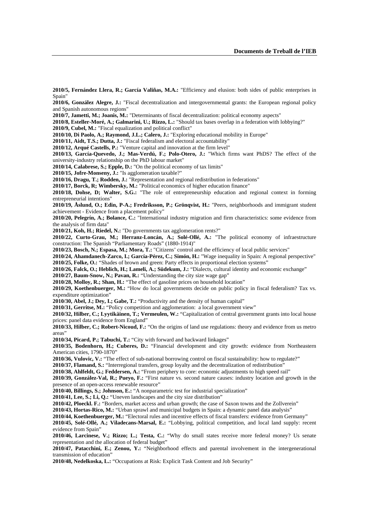**2010/5, Fernández Llera, R.; García Valiñas, M.A.:** "Efficiency and elusion: both sides of public enterprises in Spain"

**2010/6, González Alegre, J.:** "Fiscal decentralization and intergovernmental grants: the European regional policy and Spanish autonomous regions"

**2010/7, Jametti, M.; Joanis, M.:** "Determinants of fiscal decentralization: political economy aspects"

**2010/8, Esteller-Moré, A.; Galmarini, U.; Rizzo, L.:** "Should tax bases overlap in a federation with lobbying?"

**2010/9, Cubel, M.:** "Fiscal equalization and political conflict"

**2010/10, Di Paolo, A.; Raymond, J.L.; Calero, J.:** "Exploring educational mobility in Europe"

**2010/11, Aidt, T.S.; Dutta, J.:** "Fiscal federalism and electoral accountability"

**2010/12, Arqué Castells, P.:** "Venture capital and innovation at the firm level"

**2010/13, García-Quevedo, J.; Mas-Verdú, F.; Polo-Otero, J.:** "Which firms want PhDS? The effect of the university-industry relationship on the PhD labour market"

**2010/14, Calabrese, S.; Epple, D.:** "On the political economy of tax limits"

**2010/15, Jofre-Monseny, J.:** "Is agglomeration taxable?"

**2010/16, Dragu, T.; Rodden, J.:** "Representation and regional redistribution in federations"

**2010/17, Borck, R; Wimbersky, M.:** "Political economics of higher education finance"

**2010/18, Dohse, D; Walter, S.G.:** "The role of entrepreneurship education and regional context in forming entrepreneurial intentions"

**2010/19, Åslund, O.; Edin, P-A.; Fredriksson, P.; Grönqvist, H.:** "Peers, neighborhoods and immigrant student achievement - Evidence from a placement policy"

**2010/20, Pelegrín, A.; Bolance, C.:** "International industry migration and firm characteristics: some evidence from the analysis of firm data"

**2010/21, Koh, H.; Riedel, N.:** "Do governments tax agglomeration rents?"

**2010/22, Curto-Grau, M.; Herranz-Loncán, A.; Solé-Ollé, A.:** "The political economy of infraestructure construction: The Spanish "Parliamentary Roads" (1880-1914)"

**2010/23, Bosch, N.; Espasa, M.; Mora, T.:** "Citizens' control and the efficiency of local public services"

**2010/24, Ahamdanech-Zarco, I.; García-Pérez, C.; Simón, H.:** "Wage inequality in Spain: A regional perspective" **2010/25, Folke, O.:** "Shades of brown and green: Party effects in proportional election systems"

**2010/26, Falck, O.; Heblich, H.; Lameli, A.; Südekum, J.:** "Dialects, cultural identity and economic exchange"

**2010/27, Baum-Snow, N.; Pavan, R.:** "Understanding the city size wage gap"

**2010/28, Molloy, R.; Shan, H.:** "The effect of gasoline prices on household location"

**2010/29, Koethenbuerger, M.:** "How do local governments decide on public policy in fiscal federalism? Tax vs. expenditure optimization"

**2010/30, Abel, J.; Dey, I.; Gabe, T.:** "Productivity and the density of human capital"

**2010/31, Gerritse, M.:** "Policy competition and agglomeration: a local government view"

**2010/32, Hilber, C.; Lyytikäinen, T.; Vermeulen, W.:** "Capitalization of central government grants into local house prices: panel data evidence from England"

**2010/33, Hilber, C.; Robert-Nicoud, F.:** "On the origins of land use regulations: theory and evidence from us metro areas"

**2010/34, Picard, P.; Tabuchi, T.:** "City with forward and backward linkages"

**2010/35, Bodenhorn, H.; Cuberes, D.:** "Financial development and city growth: evidence from Northeastern American cities, 1790-1870"

**2010/36, Vulovic, V.:** "The effect of sub-national borrowing control on fiscal sustainability: how to regulate?"

**2010/37, Flamand, S.:** "Interregional transfers, group loyalty and the decentralization of redistribution"

**2010/38, Ahlfeldt, G.; Feddersen, A.:** "From periphery to core: economic adjustments to high speed rail"

**2010/39, González-Val, R.; Pueyo, F.:** "First nature vs. second nature causes: industry location and growth in the presence of an open-access renewable resource"

**2010/40, Billings, S.; Johnson, E.:** "A nonparametric test for industrial specialization"

**2010/41, Lee, S.; Li, Q.:** "Uneven landscapes and the city size distribution"

**2010/42, Ploeckl. F.:** "Borders, market access and urban growth; the case of Saxon towns and the Zollverein"

**2010/43, Hortas-Rico, M.:** "Urban sprawl and municipal budgets in Spain: a dynamic panel data analysis"

**2010/44, Koethenbuerger, M.:** "Electoral rules and incentive effects of fiscal transfers: evidence from Germany"

**2010/45, Solé-Ollé, A.; Viladecans-Marsal, E.:** "Lobbying, political competition, and local land supply: recent evidence from Spain"

**2010/46, Larcinese, V.; Rizzo; L.; Testa, C.:** "Why do small states receive more federal money? Us senate representation and the allocation of federal budget"

**2010/47, Patacchini, E.; Zenou, Y.:** "Neighborhood effects and parental involvement in the intergenerational transmission of education"

**2010/48, Nedelkoska, L.:** "Occupations at Risk: Explicit Task Content and Job Security"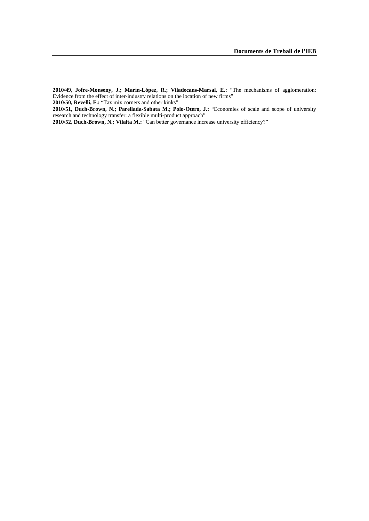**2010/49, Jofre-Monseny, J.; Marín-López, R.; Viladecans-Marsal, E.:** "The mechanisms of agglomeration: Evidence from the effect of inter-industry relations on the location of new firms" **2010/50, Revelli, F.:** "Tax mix corners and other kinks"

**2010/51, Duch-Brown, N.; Parellada-Sabata M.; Polo-Otero, J.:** "Economies of scale and scope of university research and technology transfer: a flexible multi-product approach"

**2010/52, Duch-Brown, N.; Vilalta M.:** "Can better governance increase university efficiency?"